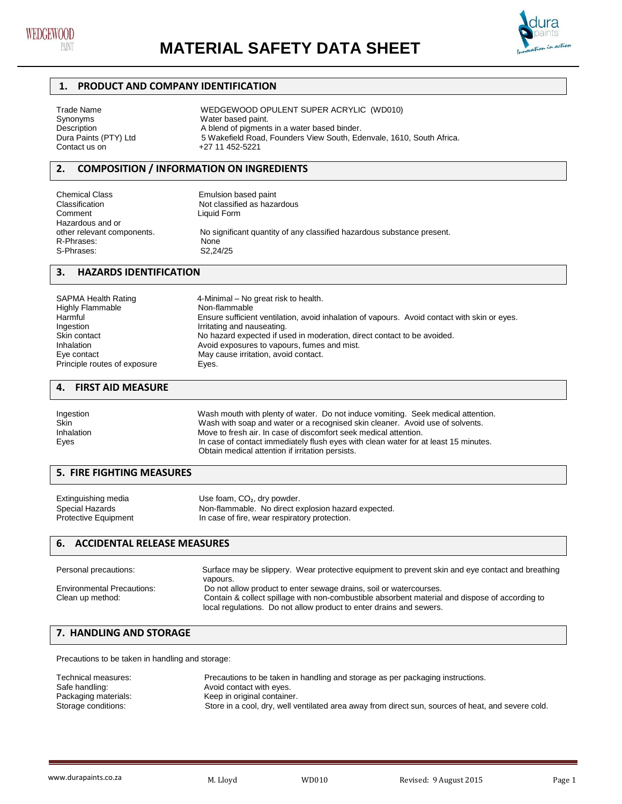



## **1. PRODUCT AND COMPANY IDENTIFICATION**

| Trade Name            | WEDGEWOOD OPULENT SUPER ACRYLIC (WD010)                              |
|-----------------------|----------------------------------------------------------------------|
| Synonyms              | Water based paint.                                                   |
| Description           | A blend of pigments in a water based binder.                         |
| Dura Paints (PTY) Ltd | 5 Wakefield Road, Founders View South, Edenvale, 1610, South Africa. |
| Contact us on         | +27 11 452-5221                                                      |
|                       |                                                                      |

## **2. COMPOSITION / INFORMATION ON INGREDIENTS**

| <b>Chemical Class</b>      | Emulsion based paint                                                   |
|----------------------------|------------------------------------------------------------------------|
| Classification             | Not classified as hazardous                                            |
| Comment                    | Liquid Form                                                            |
| Hazardous and or           |                                                                        |
| other relevant components. | No significant quantity of any classified hazardous substance present. |
| R-Phrases:                 | None                                                                   |
| S-Phrases:                 | S2.24/25                                                               |

## **3. HAZARDS IDENTIFICATION**

| <b>SAPMA Health Rating</b>   | 4-Minimal – No great risk to health.                                                         |
|------------------------------|----------------------------------------------------------------------------------------------|
| <b>Highly Flammable</b>      | Non-flammable                                                                                |
| Harmful                      | Ensure sufficient ventilation, avoid inhalation of vapours. Avoid contact with skin or eyes. |
| Ingestion                    | Irritating and nauseating.                                                                   |
| Skin contact                 | No hazard expected if used in moderation, direct contact to be avoided.                      |
| Inhalation                   | Avoid exposures to vapours, fumes and mist.                                                  |
| Eye contact                  | May cause irritation, avoid contact.                                                         |
| Principle routes of exposure | Eyes.                                                                                        |

# **4. FIRST AID MEASURE**

| Ingestion<br>Skin | Wash mouth with plenty of water. Do not induce vomiting. Seek medical attention.<br>Wash with soap and water or a recognised skin cleaner. Avoid use of solvents. |  |  |
|-------------------|-------------------------------------------------------------------------------------------------------------------------------------------------------------------|--|--|
| Inhalation        | Move to fresh air. In case of discomfort seek medical attention.                                                                                                  |  |  |
| Eyes              | In case of contact immediately flush eyes with clean water for at least 15 minutes.                                                                               |  |  |
|                   | Obtain medical attention if irritation persists.                                                                                                                  |  |  |

# **5. FIRE FIGHTING MEASURES**

| Extinguishing media         | Use foam, $CO2$ , dry powder.                       |
|-----------------------------|-----------------------------------------------------|
| Special Hazards             | Non-flammable. No direct explosion hazard expected. |
| <b>Protective Equipment</b> | In case of fire, wear respiratory protection.       |

## **6. ACCIDENTAL RELEASE MEASURES**

| Personal precautions:             | Surface may be slippery. Wear protective equipment to prevent skin and eye contact and breathing |
|-----------------------------------|--------------------------------------------------------------------------------------------------|
|                                   | vapours.                                                                                         |
| <b>Environmental Precautions:</b> | Do not allow product to enter sewage drains, soil or watercourses.                               |
| Clean up method:                  | Contain & collect spillage with non-combustible absorbent material and dispose of according to   |
|                                   | local regulations. Do not allow product to enter drains and sewers.                              |

## **7. HANDLING AND STORAGE**

Precautions to be taken in handling and storage:

| Technical measures:<br>Safe handling: | Precautions to be taken in handling and storage as per packaging instructions.<br>Avoid contact with eyes. |
|---------------------------------------|------------------------------------------------------------------------------------------------------------|
| Packaging materials:                  | Keep in original container.                                                                                |
| Storage conditions:                   | Store in a cool, dry, well ventilated area away from direct sun, sources of heat, and severe cold.         |